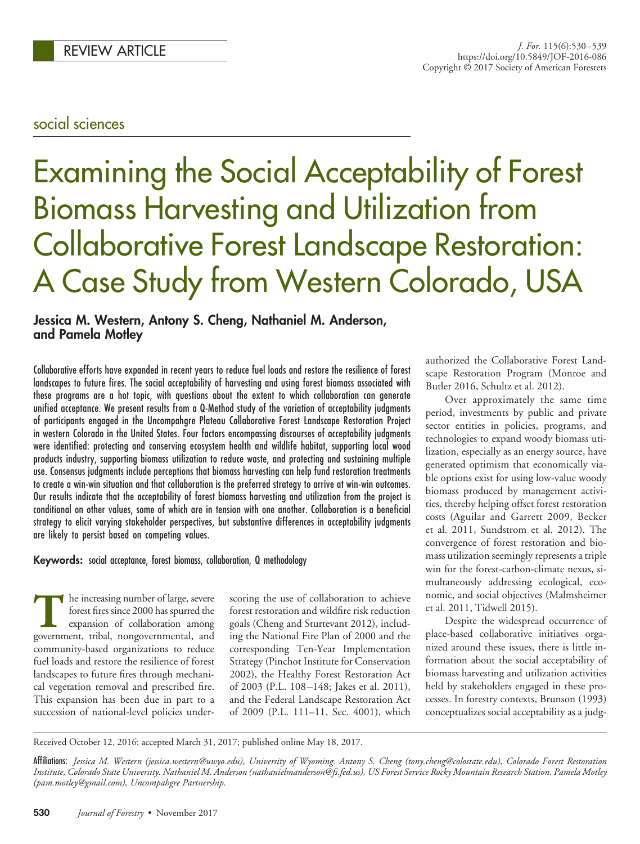# social sciences

# Examining the Social Acceptability of Forest Biomass Harvesting and Utilization from Collaborative Forest Landscape Restoration: A Case Study from Western Colorado, USA

# **Jessica M. Western, Antony S. Cheng, Nathaniel M. Anderson, and Pamela Motley**

Collaborative efforts have expanded in recent years to reduce fuel loads and restore the resilience of forest landscapes to future fires. The social acceptability of harvesting and using forest biomass associated with these programs are a hot topic, with questions about the extent to which collaboration can generate unified acceptance. We present results from a Q-Method study of the variation of acceptability judgments of participants engaged in the Uncompahgre Plateau Collaborative Forest Landscape Restoration Project in western Colorado in the United States. Four factors encompassing discourses of acceptability judgments were identified: protecting and conserving ecosystem health and wildlife habitat, supporting local wood products industry, supporting biomass utilization to reduce waste, and protecting and sustaining multiple use. Consensus judgments include perceptions that biomass harvesting can help fund restoration treatments to create a win-win situation and that collaboration is the preferred strategy to arrive at win-win outcomes. Our results indicate that the acceptability of forest biomass harvesting and utilization from the project is conditional on other values, some of which are in tension with one another. Collaboration is a beneficial strategy to elicit varying stakeholder perspectives, but substantive differences in acceptability judgments are likely to persist based on competing values.

#### **Keywords:** social acceptance, forest biomass, collaboration, Q methodology

The increasing number of large, severe forest fires since 2000 has spurred the expansion of collaboration among government, tribal, nongovernmental, and forest fires since 2000 has spurred the expansion of collaboration among community-based organizations to reduce fuel loads and restore the resilience of forest landscapes to future fires through mechanical vegetation removal and prescribed fire. This expansion has been due in part to a succession of national-level policies under-

scoring the use of collaboration to achieve forest restoration and wildfire risk reduction goals (Cheng and Sturtevant 2012), including the National Fire Plan of 2000 and the corresponding Ten-Year Implementation Strategy (Pinchot Institute for Conservation 2002), the Healthy Forest Restoration Act of 2003 (P.L. 108 –148; Jakes et al. 2011), and the Federal Landscape Restoration Act of 2009 (P.L. 111–11, Sec. 4001), which

authorized the Collaborative Forest Landscape Restoration Program (Monroe and Butler 2016, Schultz et al. 2012).

Over approximately the same time period, investments by public and private sector entities in policies, programs, and technologies to expand woody biomass utilization, especially as an energy source, have generated optimism that economically viable options exist for using low-value woody biomass produced by management activities, thereby helping offset forest restoration costs (Aguilar and Garrett 2009, Becker et al. 2011, Sundstrom et al. 2012). The convergence of forest restoration and biomass utilization seemingly represents a triple win for the forest-carbon-climate nexus, simultaneously addressing ecological, economic, and social objectives (Malmsheimer et al. 2011, Tidwell 2015).

Despite the widespread occurrence of place-based collaborative initiatives organized around these issues, there is little information about the social acceptability of biomass harvesting and utilization activities held by stakeholders engaged in these processes. In forestry contexts, Brunson (1993) conceptualizes social acceptability as a judg-

Received October 12, 2016; accepted March 31, 2017; published online May 18, 2017.

Affiliations: *Jessica M. Western (jessica.western@uwyo.edu), University of Wyoming. Antony S. Cheng (tony.cheng@colostate.edu), Colorado Forest Restoration Institute, Colorado State University. Nathaniel M. Anderson (nathanielmanderson@fs.fed.us), US Forest Service Rocky Mountain Research Station. Pamela Motley (pam.motley@gmail.com), Uncompahgre Partnership.*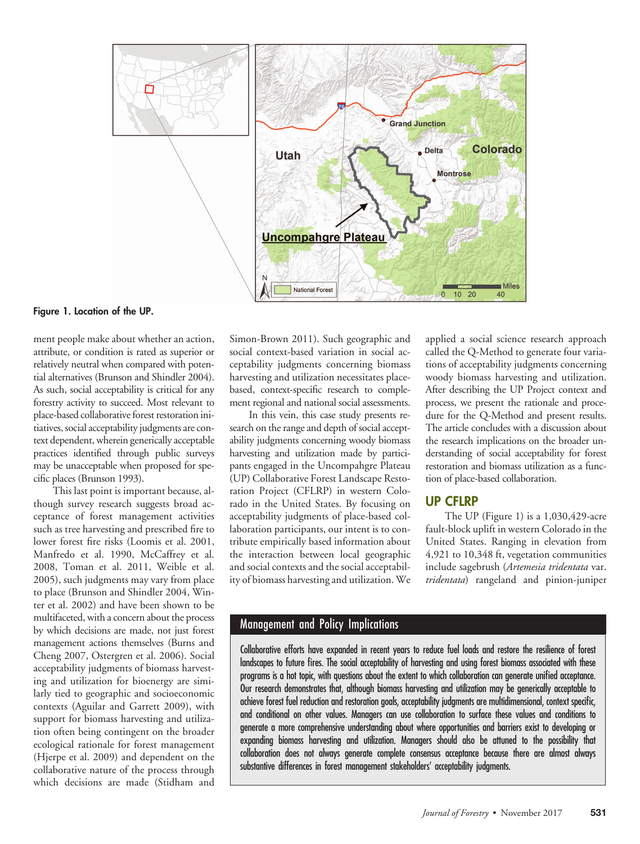

**Figure 1. Location of the UP.**

ment people make about whether an action, attribute, or condition is rated as superior or relatively neutral when compared with potential alternatives (Brunson and Shindler 2004). As such, social acceptability is critical for any forestry activity to succeed. Most relevant to place-based collaborative forest restoration initiatives, social acceptability judgments are context dependent, wherein generically acceptable practices identified through public surveys may be unacceptable when proposed for specific places (Brunson 1993).

This last point is important because, although survey research suggests broad acceptance of forest management activities such as tree harvesting and prescribed fire to lower forest fire risks (Loomis et al. 2001, Manfredo et al. 1990, McCaffrey et al. 2008, Toman et al. 2011, Weible et al. 2005), such judgments may vary from place to place (Brunson and Shindler 2004, Winter et al. 2002) and have been shown to be multifaceted, with a concern about the process by which decisions are made, not just forest management actions themselves (Burns and Cheng 2007, Ostergren et al. 2006). Social acceptability judgments of biomass harvesting and utilization for bioenergy are similarly tied to geographic and socioeconomic contexts (Aguilar and Garrett 2009), with support for biomass harvesting and utilization often being contingent on the broader ecological rationale for forest management (Hjerpe et al. 2009) and dependent on the collaborative nature of the process through which decisions are made (Stidham and

Simon-Brown 2011). Such geographic and social context-based variation in social acceptability judgments concerning biomass harvesting and utilization necessitates placebased, context-specific research to complement regional and national social assessments.

In this vein, this case study presents research on the range and depth of social acceptability judgments concerning woody biomass harvesting and utilization made by participants engaged in the Uncompahgre Plateau (UP) Collaborative Forest Landscape Restoration Project (CFLRP) in western Colorado in the United States. By focusing on acceptability judgments of place-based collaboration participants, our intent is to contribute empirically based information about the interaction between local geographic and social contexts and the social acceptability of biomass harvesting and utilization. We

applied a social science research approach called the Q-Method to generate four variations of acceptability judgments concerning woody biomass harvesting and utilization. After describing the UP Project context and process, we present the rationale and procedure for the Q-Method and present results. The article concludes with a discussion about the research implications on the broader understanding of social acceptability for forest restoration and biomass utilization as a function of place-based collaboration.

# **UP CFLRP**

The UP (Figure 1) is a 1,030,429-acre fault-block uplift in western Colorado in the United States. Ranging in elevation from 4,921 to 10,348 ft, vegetation communities include sagebrush (*Artemesia tridentata* var. *tridentata*) rangeland and pinion-juniper

# Management and Policy Implications

Collaborative efforts have expanded in recent years to reduce fuel loads and restore the resilience of forest landscapes to future fires. The social acceptability of harvesting and using forest biomass associated with these programs is a hot topic, with questions about the extent to which collaboration can generate unified acceptance. Our research demonstrates that, although biomass harvesting and utilization may be generically acceptable to achieve forest fuel reduction and restoration goals, acceptability judgments are multidimensional, context specific, and conditional on other values. Managers can use collaboration to surface these values and conditions to generate a more comprehensive understanding about where opportunities and barriers exist to developing or expanding biomass harvesting and utilization. Managers should also be attuned to the possibility that collaboration does not always generate complete consensus acceptance because there are almost always substantive differences in forest management stakeholders' acceptability judgments.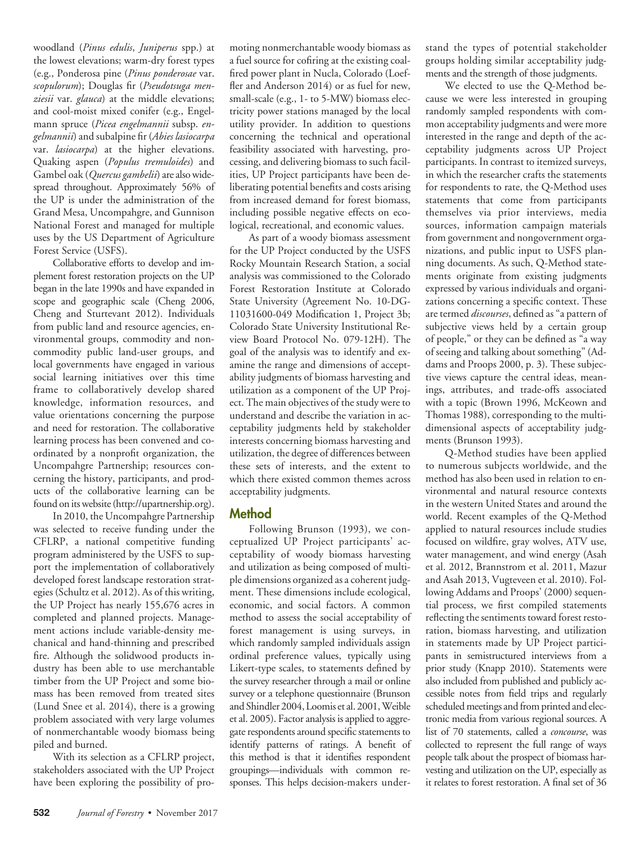woodland (*Pinus edulis*, *Juniperus* spp.) at the lowest elevations; warm-dry forest types (e.g., Ponderosa pine (*Pinus ponderosae* var. *scopulorum*); Douglas fir (*Pseudotsuga menziesii* var. *glauca*) at the middle elevations; and cool-moist mixed conifer (e.g., Engelmann spruce (*Picea engelmannii* subsp. *engelmannii*) and subalpine fir (*Abies lasiocarpa* var. *lasiocarpa*) at the higher elevations. Quaking aspen (*Populus tremuloides*) and Gambel oak (*Quercus gambelii*) are also widespread throughout. Approximately 56% of the UP is under the administration of the Grand Mesa, Uncompahgre, and Gunnison National Forest and managed for multiple uses by the US Department of Agriculture Forest Service (USFS).

Collaborative efforts to develop and implement forest restoration projects on the UP began in the late 1990s and have expanded in scope and geographic scale (Cheng 2006, Cheng and Sturtevant 2012). Individuals from public land and resource agencies, environmental groups, commodity and noncommodity public land-user groups, and local governments have engaged in various social learning initiatives over this time frame to collaboratively develop shared knowledge, information resources, and value orientations concerning the purpose and need for restoration. The collaborative learning process has been convened and coordinated by a nonprofit organization, the Uncompahgre Partnership; resources concerning the history, participants, and products of the collaborative learning can be found on its website [\(http://upartnership.org\)](http://upartnership.org).

In 2010, the Uncompahgre Partnership was selected to receive funding under the CFLRP, a national competitive funding program administered by the USFS to support the implementation of collaboratively developed forest landscape restoration strategies (Schultz et al. 2012). As of this writing, the UP Project has nearly 155,676 acres in completed and planned projects. Management actions include variable-density mechanical and hand-thinning and prescribed fire. Although the solidwood products industry has been able to use merchantable timber from the UP Project and some biomass has been removed from treated sites (Lund Snee et al. 2014), there is a growing problem associated with very large volumes of nonmerchantable woody biomass being piled and burned.

With its selection as a CFLRP project, stakeholders associated with the UP Project have been exploring the possibility of pro-

moting nonmerchantable woody biomass as a fuel source for cofiring at the existing coalfired power plant in Nucla, Colorado (Loeffler and Anderson 2014) or as fuel for new, small-scale (e.g., 1- to 5-MW) biomass electricity power stations managed by the local utility provider. In addition to questions concerning the technical and operational feasibility associated with harvesting, processing, and delivering biomass to such facilities, UP Project participants have been deliberating potential benefits and costs arising from increased demand for forest biomass, including possible negative effects on ecological, recreational, and economic values.

As part of a woody biomass assessment for the UP Project conducted by the USFS Rocky Mountain Research Station, a social analysis was commissioned to the Colorado Forest Restoration Institute at Colorado State University (Agreement No. 10-DG-11031600-049 Modification 1, Project 3b; Colorado State University Institutional Review Board Protocol No. 079-12H). The goal of the analysis was to identify and examine the range and dimensions of acceptability judgments of biomass harvesting and utilization as a component of the UP Project. The main objectives of the study were to understand and describe the variation in acceptability judgments held by stakeholder interests concerning biomass harvesting and utilization, the degree of differences between these sets of interests, and the extent to which there existed common themes across acceptability judgments.

# **Method**

Following Brunson (1993), we conceptualized UP Project participants' acceptability of woody biomass harvesting and utilization as being composed of multiple dimensions organized as a coherent judgment. These dimensions include ecological, economic, and social factors. A common method to assess the social acceptability of forest management is using surveys, in which randomly sampled individuals assign ordinal preference values, typically using Likert-type scales, to statements defined by the survey researcher through a mail or online survey or a telephone questionnaire (Brunson and Shindler 2004, Loomis et al. 2001, Weible et al. 2005). Factor analysis is applied to aggregate respondents around specific statements to identify patterns of ratings. A benefit of this method is that it identifies respondent groupings—individuals with common responses. This helps decision-makers understand the types of potential stakeholder groups holding similar acceptability judgments and the strength of those judgments.

We elected to use the Q-Method because we were less interested in grouping randomly sampled respondents with common acceptability judgments and were more interested in the range and depth of the acceptability judgments across UP Project participants. In contrast to itemized surveys, in which the researcher crafts the statements for respondents to rate, the Q-Method uses statements that come from participants themselves via prior interviews, media sources, information campaign materials from government and nongovernment organizations, and public input to USFS planning documents. As such, Q-Method statements originate from existing judgments expressed by various individuals and organizations concerning a specific context. These are termed *discourses*, defined as "a pattern of subjective views held by a certain group of people," or they can be defined as "a way of seeing and talking about something" (Addams and Proops 2000, p. 3). These subjective views capture the central ideas, meanings, attributes, and trade-offs associated with a topic (Brown 1996, McKeown and Thomas 1988), corresponding to the multidimensional aspects of acceptability judgments (Brunson 1993).

Q-Method studies have been applied to numerous subjects worldwide, and the method has also been used in relation to environmental and natural resource contexts in the western United States and around the world. Recent examples of the Q-Method applied to natural resources include studies focused on wildfire, gray wolves, ATV use, water management, and wind energy (Asah et al. 2012, Brannstrom et al. 2011, Mazur and Asah 2013, Vugteveen et al. 2010). Following Addams and Proops' (2000) sequential process, we first compiled statements reflecting the sentiments toward forest restoration, biomass harvesting, and utilization in statements made by UP Project participants in semistructured interviews from a prior study (Knapp 2010). Statements were also included from published and publicly accessible notes from field trips and regularly scheduled meetings and from printed and electronic media from various regional sources. A list of 70 statements, called a *concourse*, was collected to represent the full range of ways people talk about the prospect of biomass harvesting and utilization on the UP, especially as it relates to forest restoration. A final set of 36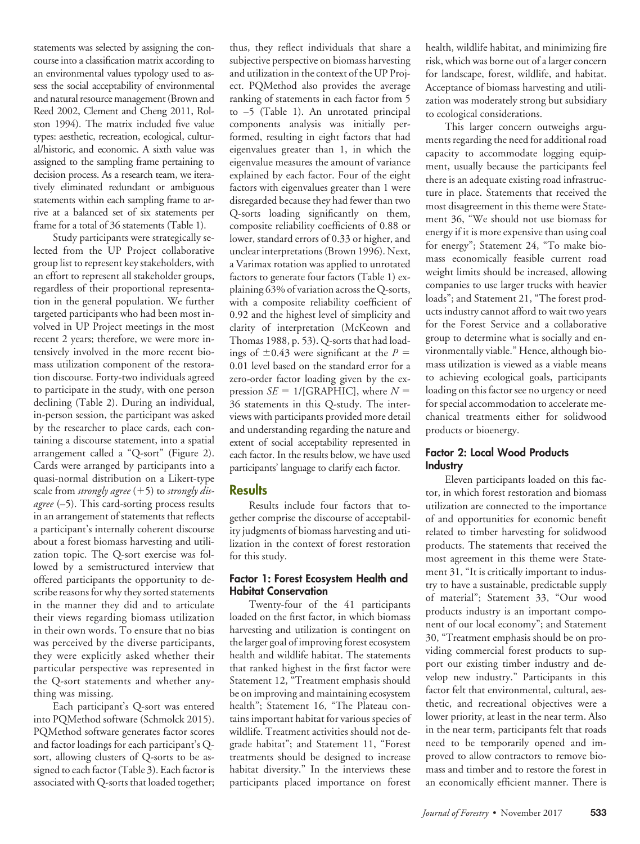statements was selected by assigning the concourse into a classification matrix according to an environmental values typology used to assess the social acceptability of environmental and natural resource management (Brown and Reed 2002, Clement and Cheng 2011, Rolston 1994). The matrix included five value types: aesthetic, recreation, ecological, cultural/historic, and economic. A sixth value was assigned to the sampling frame pertaining to decision process. As a research team, we iteratively eliminated redundant or ambiguous statements within each sampling frame to arrive at a balanced set of six statements per frame for a total of 36 statements (Table 1).

Study participants were strategically selected from the UP Project collaborative group list to represent key stakeholders, with an effort to represent all stakeholder groups, regardless of their proportional representation in the general population. We further targeted participants who had been most involved in UP Project meetings in the most recent 2 years; therefore, we were more intensively involved in the more recent biomass utilization component of the restoration discourse. Forty-two individuals agreed to participate in the study, with one person declining (Table 2). During an individual, in-person session, the participant was asked by the researcher to place cards, each containing a discourse statement, into a spatial arrangement called a "Q-sort" (Figure 2). Cards were arranged by participants into a quasi-normal distribution on a Likert-type scale from *strongly agree* (+5) to *strongly disagree* (–5). This card-sorting process results in an arrangement of statements that reflects a participant's internally coherent discourse about a forest biomass harvesting and utilization topic. The Q-sort exercise was followed by a semistructured interview that offered participants the opportunity to describe reasons for why they sorted statements in the manner they did and to articulate their views regarding biomass utilization in their own words. To ensure that no bias was perceived by the diverse participants, they were explicitly asked whether their particular perspective was represented in the Q-sort statements and whether anything was missing.

Each participant's Q-sort was entered into PQMethod software (Schmolck 2015). PQMethod software generates factor scores and factor loadings for each participant's Qsort, allowing clusters of Q-sorts to be assigned to each factor (Table 3). Each factor is associated with Q-sorts that loaded together;

thus, they reflect individuals that share a subjective perspective on biomass harvesting and utilization in the context of the UP Project. PQMethod also provides the average ranking of statements in each factor from 5 to –5 (Table 1). An unrotated principal components analysis was initially performed, resulting in eight factors that had eigenvalues greater than 1, in which the eigenvalue measures the amount of variance explained by each factor. Four of the eight factors with eigenvalues greater than 1 were disregarded because they had fewer than two Q-sorts loading significantly on them, composite reliability coefficients of 0.88 or lower, standard errors of 0.33 or higher, and unclear interpretations (Brown 1996). Next, a Varimax rotation was applied to unrotated factors to generate four factors (Table 1) explaining 63% of variation across the Q-sorts, with a composite reliability coefficient of 0.92 and the highest level of simplicity and clarity of interpretation (McKeown and Thomas 1988, p. 53). Q-sorts that had loadings of  $\pm 0.43$  were significant at the *P* = 0.01 level based on the standard error for a zero-order factor loading given by the expression  $SE = 1/[\text{GRAPHIC}]$ , where  $N =$ 36 statements in this Q-study. The interviews with participants provided more detail and understanding regarding the nature and extent of social acceptability represented in each factor. In the results below, we have used participants' language to clarify each factor.

#### **Results**

Results include four factors that together comprise the discourse of acceptability judgments of biomass harvesting and utilization in the context of forest restoration for this study.

#### **Factor 1: Forest Ecosystem Health and Habitat Conservation**

Twenty-four of the 41 participants loaded on the first factor, in which biomass harvesting and utilization is contingent on the larger goal of improving forest ecosystem health and wildlife habitat. The statements that ranked highest in the first factor were Statement 12, "Treatment emphasis should be on improving and maintaining ecosystem health"; Statement 16, "The Plateau contains important habitat for various species of wildlife. Treatment activities should not degrade habitat"; and Statement 11, "Forest treatments should be designed to increase habitat diversity." In the interviews these participants placed importance on forest

health, wildlife habitat, and minimizing fire risk, which was borne out of a larger concern for landscape, forest, wildlife, and habitat. Acceptance of biomass harvesting and utilization was moderately strong but subsidiary to ecological considerations.

This larger concern outweighs arguments regarding the need for additional road capacity to accommodate logging equipment, usually because the participants feel there is an adequate existing road infrastructure in place. Statements that received the most disagreement in this theme were Statement 36, "We should not use biomass for energy if it is more expensive than using coal for energy"; Statement 24, "To make biomass economically feasible current road weight limits should be increased, allowing companies to use larger trucks with heavier loads"; and Statement 21, "The forest products industry cannot afford to wait two years for the Forest Service and a collaborative group to determine what is socially and environmentally viable." Hence, although biomass utilization is viewed as a viable means to achieving ecological goals, participants loading on this factor see no urgency or need for special accommodation to accelerate mechanical treatments either for solidwood products or bioenergy.

#### **Factor 2: Local Wood Products Industry**

Eleven participants loaded on this factor, in which forest restoration and biomass utilization are connected to the importance of and opportunities for economic benefit related to timber harvesting for solidwood products. The statements that received the most agreement in this theme were Statement 31, "It is critically important to industry to have a sustainable, predictable supply of material"; Statement 33, "Our wood products industry is an important component of our local economy"; and Statement 30, "Treatment emphasis should be on providing commercial forest products to support our existing timber industry and develop new industry." Participants in this factor felt that environmental, cultural, aesthetic, and recreational objectives were a lower priority, at least in the near term. Also in the near term, participants felt that roads need to be temporarily opened and improved to allow contractors to remove biomass and timber and to restore the forest in an economically efficient manner. There is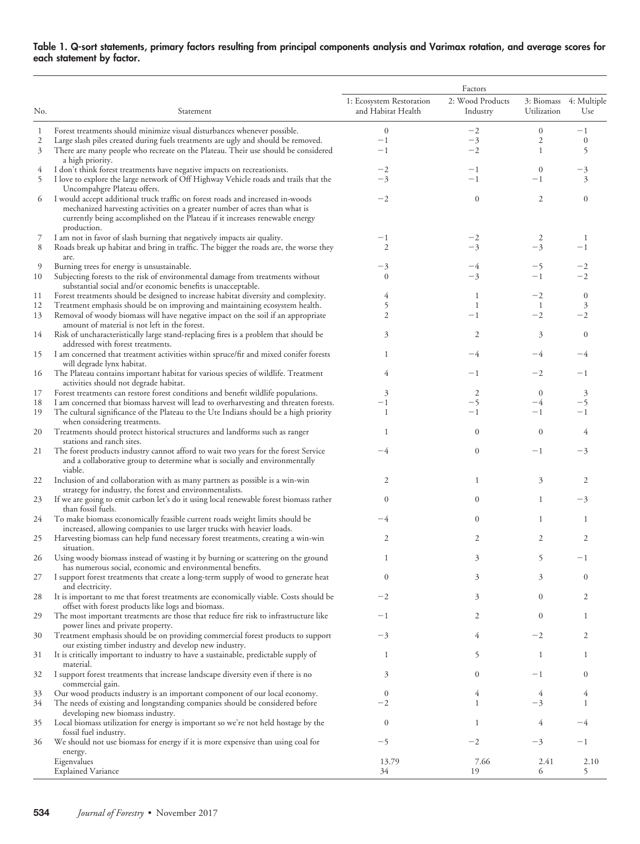#### **Table 1. Q-sort statements, primary factors resulting from principal components analysis and Varimax rotation, and average scores for each statement by factor.**

|                |                                                                                                                                                                                                                                                             |                                                | Factors                      |                           |                    |  |
|----------------|-------------------------------------------------------------------------------------------------------------------------------------------------------------------------------------------------------------------------------------------------------------|------------------------------------------------|------------------------------|---------------------------|--------------------|--|
| No.            | Statement                                                                                                                                                                                                                                                   | 1: Ecosystem Restoration<br>and Habitat Health | 2: Wood Products<br>Industry | 3: Biomass<br>Utilization | 4: Multiple<br>Use |  |
| 1              | Forest treatments should minimize visual disturbances whenever possible.                                                                                                                                                                                    | $\mathbf{0}$                                   | $-2$                         | $\mathbf{0}$              | $^{-1}$            |  |
| $\mathfrak{2}$ | Large slash piles created during fuels treatments are ugly and should be removed.                                                                                                                                                                           | $-1$                                           | $-3$                         | $\mathfrak{2}$            | $\boldsymbol{0}$   |  |
| 3              | There are many people who recreate on the Plateau. Their use should be considered<br>a high priority.                                                                                                                                                       | $^{-1}$                                        | $-2$                         | 1                         | 5                  |  |
| 4              | I don't think forest treatments have negative impacts on recreationists.                                                                                                                                                                                    | $-2$                                           | $^{-1}$                      | $\mathbf{0}$              | -3                 |  |
| 5              | I love to explore the large network of Off Highway Vehicle roads and trails that the<br>Uncompahgre Plateau offers.                                                                                                                                         | $-3$                                           | $-1$                         | $^{-1}$                   | 3                  |  |
| 6              | I would accept additional truck traffic on forest roads and increased in-woods<br>mechanized harvesting activities on a greater number of acres than what is<br>currently being accomplished on the Plateau if it increases renewable energy<br>production. | $-2$                                           | $\overline{0}$               | 2                         | $\boldsymbol{0}$   |  |
| 7<br>8         | I am not in favor of slash burning that negatively impacts air quality.<br>Roads break up habitat and bring in traffic. The bigger the roads are, the worse they                                                                                            | $^{-1}$<br>$\overline{2}$                      | $-2$<br>$-3$                 | 2<br>$-3$                 | -1<br>$-1$         |  |
| 9              | are.<br>Burning trees for energy is unsustainable.                                                                                                                                                                                                          | -3                                             | -4                           | -5                        | $-2$               |  |
| 10             | Subjecting forests to the risk of environmental damage from treatments without<br>substantial social and/or economic benefits is unacceptable.                                                                                                              | $\mathbf{0}$                                   | $-3$                         | $^{-1}$                   | $-2$               |  |
| 11             | Forest treatments should be designed to increase habitat diversity and complexity.                                                                                                                                                                          | 4                                              | 1                            | $^{-2}$                   | $\mathbf{0}$       |  |
| 12             | Treatment emphasis should be on improving and maintaining ecosystem health.                                                                                                                                                                                 | 5                                              | $\mathbf{1}$                 | -1                        | 3                  |  |
| 13             | Removal of woody biomass will have negative impact on the soil if an appropriate<br>amount of material is not left in the forest.                                                                                                                           | $\mathfrak{2}$                                 | $-1$                         | $-2$                      | $-2$               |  |
| 14             | Risk of uncharacteristically large stand-replacing fires is a problem that should be<br>addressed with forest treatments.                                                                                                                                   | 3                                              | 2                            | 3                         | $\mathbf{0}$       |  |
| 15             | I am concerned that treatment activities within spruce/fir and mixed conifer forests<br>will degrade lynx habitat.                                                                                                                                          | 1                                              | $-4$                         | $-4$                      | $-4$               |  |
| 16             | The Plateau contains important habitat for various species of wildlife. Treatment<br>activities should not degrade habitat.                                                                                                                                 | 4                                              | $-1$                         | $-2$                      | $^{-1}$            |  |
| 17             | Forest treatments can restore forest conditions and benefit wildlife populations.                                                                                                                                                                           | 3                                              | 2                            | $\mathbf{0}$              | 3                  |  |
| 18             | I am concerned that biomass harvest will lead to overharvesting and threaten forests.                                                                                                                                                                       | $^{-1}$                                        | $-5$                         | $-4$                      | -5                 |  |
| 19             | The cultural significance of the Plateau to the Ute Indians should be a high priority<br>when considering treatments.                                                                                                                                       | $\mathbf{1}$                                   | $-1$                         | $^{-1}$                   | $^{-1}$            |  |
| 20             | Treatments should protect historical structures and landforms such as ranger<br>stations and ranch sites.                                                                                                                                                   | 1                                              | $\mathbf{0}$                 | $\mathbf{0}$              | 4                  |  |
| 21             | The forest products industry cannot afford to wait two years for the forest Service<br>and a collaborative group to determine what is socially and environmentally<br>viable.                                                                               | $-4$                                           | $\boldsymbol{0}$             | $-1$                      | -3                 |  |
| 22             | Inclusion of and collaboration with as many partners as possible is a win-win<br>strategy for industry, the forest and environmentalists.                                                                                                                   | 2                                              | 1                            | 3                         | 2                  |  |
| 23             | If we are going to emit carbon let's do it using local renewable forest biomass rather<br>than fossil fuels.                                                                                                                                                | $\mathbf{0}$                                   | $\mathbf{0}$                 | 1                         | -3                 |  |
| 24             | To make biomass economically feasible current roads weight limits should be<br>increased, allowing companies to use larger trucks with heavier loads.                                                                                                       | $-4$                                           | $\mathbf{0}$                 | 1                         | 1                  |  |
| 25             | Harvesting biomass can help fund necessary forest treatments, creating a win-win<br>situation.                                                                                                                                                              | $\mathfrak{2}$                                 | 2                            | 2                         | $\mathfrak{2}$     |  |
| 26             | Using woody biomass instead of wasting it by burning or scattering on the ground<br>has numerous social, economic and environmental benefits.                                                                                                               | 1                                              | 3                            | 5                         | -1                 |  |
| 27             | I support forest treatments that create a long-term supply of wood to generate heat<br>and electricity.                                                                                                                                                     | $\boldsymbol{0}$                               | 3                            | 3                         | 0                  |  |
| 28             | It is important to me that forest treatments are economically viable. Costs should be<br>offset with forest products like logs and biomass.                                                                                                                 | $-2$                                           | 3                            | $\overline{0}$            | 2                  |  |
| 29             | The most important treatments are those that reduce fire risk to infrastructure like<br>power lines and private property.                                                                                                                                   | $-1$                                           | 2                            | $\boldsymbol{0}$          | 1                  |  |
| 30             | Treatment emphasis should be on providing commercial forest products to support<br>our existing timber industry and develop new industry.                                                                                                                   | $-3$                                           | 4                            | $^{-2}$                   | 2                  |  |
| 31             | It is critically important to industry to have a sustainable, predictable supply of<br>material.                                                                                                                                                            | 1                                              | 5                            | 1                         | 1                  |  |
| 32             | I support forest treatments that increase landscape diversity even if there is no<br>commercial gain.                                                                                                                                                       | 3                                              | $\mathbf{0}$                 | $^{-1}$                   | $\boldsymbol{0}$   |  |
| 33             | Our wood products industry is an important component of our local economy.                                                                                                                                                                                  | $\mathbf{0}$                                   | 4                            | 4                         |                    |  |
| 34             | The needs of existing and longstanding companies should be considered before<br>developing new biomass industry.                                                                                                                                            | $-2$                                           | 1                            | $-3$                      | 1                  |  |
| 35             | Local biomass utilization for energy is important so we're not held hostage by the<br>fossil fuel industry.                                                                                                                                                 | $\boldsymbol{0}$                               | 1                            | 4                         | -4                 |  |
| 36             | We should not use biomass for energy if it is more expensive than using coal for<br>energy.                                                                                                                                                                 | -5                                             | $-2$                         | $-3$                      | $-1$               |  |
|                | Eigenvalues                                                                                                                                                                                                                                                 | 13.79                                          | 7.66                         | 2.41                      | 2.10               |  |
|                | <b>Explained Variance</b>                                                                                                                                                                                                                                   | 34                                             | 19                           | 6                         | 5                  |  |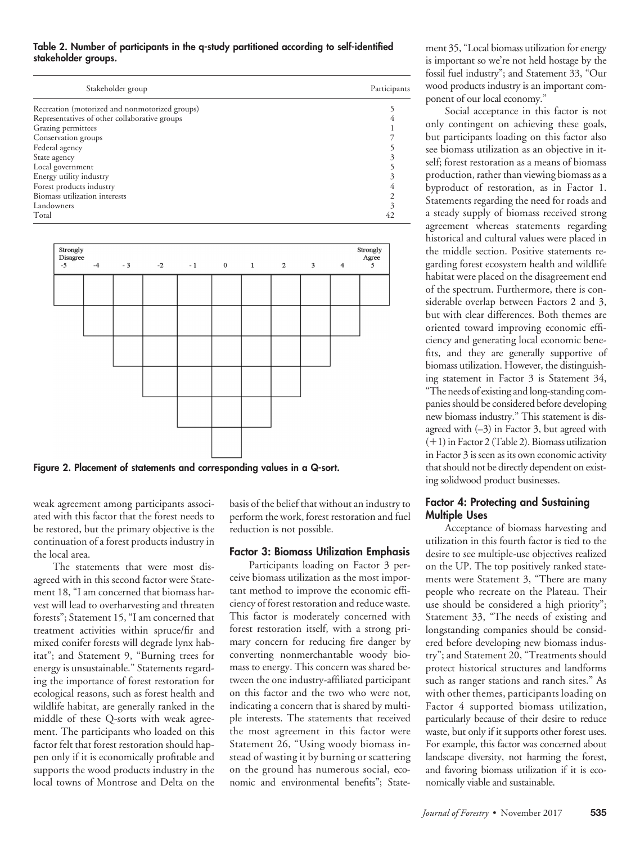#### **Table 2. Number of participants in the q-study partitioned according to self-identified stakeholder groups.**

| Stakeholder group                              | Participants |
|------------------------------------------------|--------------|
| Recreation (motorized and nonmotorized groups) |              |
| Representatives of other collaborative groups  |              |
| Grazing permittees                             |              |
| Conservation groups                            |              |
| Federal agency                                 |              |
| State agency                                   |              |
| Local government                               |              |
| Energy utility industry                        |              |
| Forest products industry                       |              |
| Biomass utilization interests                  |              |
| Landowners                                     |              |
| Total                                          | 42           |



**Figure 2. Placement of statements and corresponding values in a Q-sort.**

weak agreement among participants associated with this factor that the forest needs to be restored, but the primary objective is the continuation of a forest products industry in the local area.

The statements that were most disagreed with in this second factor were Statement 18, "I am concerned that biomass harvest will lead to overharvesting and threaten forests"; Statement 15, "I am concerned that treatment activities within spruce/fir and mixed conifer forests will degrade lynx habitat"; and Statement 9, "Burning trees for energy is unsustainable." Statements regarding the importance of forest restoration for ecological reasons, such as forest health and wildlife habitat, are generally ranked in the middle of these Q-sorts with weak agreement. The participants who loaded on this factor felt that forest restoration should happen only if it is economically profitable and supports the wood products industry in the local towns of Montrose and Delta on the basis of the belief that without an industry to perform the work, forest restoration and fuel reduction is not possible.

#### **Factor 3: Biomass Utilization Emphasis**

Participants loading on Factor 3 perceive biomass utilization as the most important method to improve the economic efficiency of forest restoration and reduce waste. This factor is moderately concerned with forest restoration itself, with a strong primary concern for reducing fire danger by converting nonmerchantable woody biomass to energy. This concern was shared between the one industry-affiliated participant on this factor and the two who were not, indicating a concern that is shared by multiple interests. The statements that received the most agreement in this factor were Statement 26, "Using woody biomass instead of wasting it by burning or scattering on the ground has numerous social, economic and environmental benefits"; State-

ment 35, "Local biomass utilization for energy is important so we're not held hostage by the fossil fuel industry"; and Statement 33, "Our wood products industry is an important component of our local economy."

Social acceptance in this factor is not only contingent on achieving these goals, but participants loading on this factor also see biomass utilization as an objective in itself; forest restoration as a means of biomass production, rather than viewing biomass as a byproduct of restoration, as in Factor 1. Statements regarding the need for roads and a steady supply of biomass received strong agreement whereas statements regarding historical and cultural values were placed in the middle section. Positive statements regarding forest ecosystem health and wildlife habitat were placed on the disagreement end of the spectrum. Furthermore, there is considerable overlap between Factors 2 and 3, but with clear differences. Both themes are oriented toward improving economic efficiency and generating local economic benefits, and they are generally supportive of biomass utilization. However, the distinguishing statement in Factor 3 is Statement 34, "The needs of existing and long-standing companies should be considered before developing new biomass industry." This statement is disagreed with (–3) in Factor 3, but agreed with (-1) in Factor 2 (Table 2). Biomass utilization in Factor 3 is seen as its own economic activity that should not be directly dependent on existing solidwood product businesses.

#### **Factor 4: Protecting and Sustaining Multiple Uses**

Acceptance of biomass harvesting and utilization in this fourth factor is tied to the desire to see multiple-use objectives realized on the UP. The top positively ranked statements were Statement 3, "There are many people who recreate on the Plateau. Their use should be considered a high priority"; Statement 33, "The needs of existing and longstanding companies should be considered before developing new biomass industry"; and Statement 20, "Treatments should protect historical structures and landforms such as ranger stations and ranch sites." As with other themes, participants loading on Factor 4 supported biomass utilization, particularly because of their desire to reduce waste, but only if it supports other forest uses. For example, this factor was concerned about landscape diversity, not harming the forest, and favoring biomass utilization if it is economically viable and sustainable.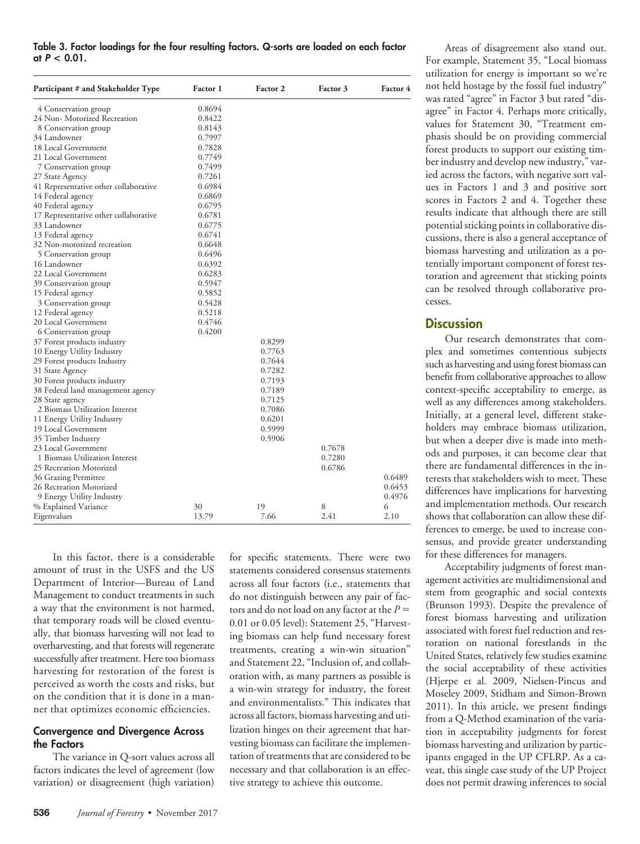|                 |  | Table 3. Factor loadings for the four resulting factors. Q-sorts are loaded on each factor |  |
|-----------------|--|--------------------------------------------------------------------------------------------|--|
| at $P < 0.01$ . |  |                                                                                            |  |

| Participant # and Stakeholder Type    | Factor 1 | Factor 2 | Factor 3 | Factor 4 |
|---------------------------------------|----------|----------|----------|----------|
| 4 Conservation group                  | 0.8694   |          |          |          |
| 24 Non- Motorized Recreation          | 0.8422   |          |          |          |
| 8 Conservation group                  | 0.8143   |          |          |          |
| 34 Landowner                          | 0.7997   |          |          |          |
| 18 Local Government                   | 0.7828   |          |          |          |
| 21 Local Government                   | 0.7749   |          |          |          |
| 7 Conservation group                  | 0.7499   |          |          |          |
| 27 State Agency                       | 0.7261   |          |          |          |
| 41 Representative other collaborative | 0.6984   |          |          |          |
| 14 Federal agency                     | 0.6869   |          |          |          |
| 40 Federal agency                     | 0.6795   |          |          |          |
| 17 Representative other collaborative | 0.6781   |          |          |          |
| 33 Landowner                          | 0.6775   |          |          |          |
| 13 Federal agency                     | 0.6741   |          |          |          |
| 32 Non-motorized recreation           | 0.6648   |          |          |          |
| 5 Conservation group                  | 0.6496   |          |          |          |
| 16 Landowner                          | 0.6392   |          |          |          |
| 22 Local Government                   | 0.6283   |          |          |          |
| 39 Conservation group                 | 0.5947   |          |          |          |
| 15 Federal agency                     | 0.5852   |          |          |          |
| 3 Conservation group                  | 0.5428   |          |          |          |
| 12 Federal agency                     | 0.5218   |          |          |          |
| 20 Local Government                   | 0.4746   |          |          |          |
| 6 Conservation group                  | 0.4200   |          |          |          |
| 37 Forest products industry           |          | 0.8299   |          |          |
| 10 Energy Utility Industry            |          | 0.7763   |          |          |
| 29 Forest products Industry           |          | 0.7644   |          |          |
| 31 State Agency                       |          | 0.7282   |          |          |
| 30 Forest products industry           |          | 0.7193   |          |          |
| 38 Federal land management agency     |          | 0.7189   |          |          |
| 28 State agency                       |          | 0.7125   |          |          |
| 2 Biomass Utilization Interest        |          | 0.7086   |          |          |
| 11 Energy Utility Industry            |          | 0.6201   |          |          |
| 19 Local Government                   |          | 0.5999   |          |          |
| 35 Timber Industry                    |          | 0.5906   |          |          |
| 23 Local Government                   |          |          | 0.7678   |          |
| 1 Biomass Utilization Interest        |          |          | 0.7280   |          |
| 25 Recreation Motorized               |          |          | 0.6786   |          |
| 36 Grazing Permittee                  |          |          |          | 0.6489   |
| 26 Recreation Motorized               |          |          |          | 0.6453   |
| 9 Energy Utility Industry             |          |          |          | 0.4976   |
| % Explained Variance                  | 30       | 19       | 8        | 6        |
| Eigenvalues                           | 13.79    | 7.66     | 2.41     | 2.10     |

In this factor, there is a considerable amount of trust in the USFS and the US Department of Interior—Bureau of Land Management to conduct treatments in such a way that the environment is not harmed, that temporary roads will be closed eventually, that biomass harvesting will not lead to overharvesting, and that forests will regenerate successfully after treatment. Here too biomass harvesting for restoration of the forest is perceived as worth the costs and risks, but on the condition that it is done in a manner that optimizes economic efficiencies.

#### **Convergence and Divergence Across the Factors**

The variance in Q-sort values across all factors indicates the level of agreement (low variation) or disagreement (high variation) for specific statements. There were two statements considered consensus statements across all four factors (i.e., statements that do not distinguish between any pair of factors and do not load on any factor at the *P* 0.01 or 0.05 level): Statement 25, "Harvesting biomass can help fund necessary forest treatments, creating a win-win situation" and Statement 22, "Inclusion of, and collaboration with, as many partners as possible is a win-win strategy for industry, the forest and environmentalists." This indicates that across all factors, biomass harvesting and utilization hinges on their agreement that harvesting biomass can facilitate the implementation of treatments that are considered to be necessary and that collaboration is an effective strategy to achieve this outcome.

Areas of disagreement also stand out. For example, Statement 35, "Local biomass utilization for energy is important so we're not held hostage by the fossil fuel industry" was rated "agree" in Factor 3 but rated "disagree" in Factor 4. Perhaps more critically, values for Statement 30, "Treatment emphasis should be on providing commercial forest products to support our existing timber industry and develop new industry," varied across the factors, with negative sort values in Factors 1 and 3 and positive sort scores in Factors 2 and 4. Together these results indicate that although there are still potential sticking points in collaborative discussions, there is also a general acceptance of biomass harvesting and utilization as a potentially important component of forest restoration and agreement that sticking points can be resolved through collaborative processes.

### **Discussion**

Our research demonstrates that complex and sometimes contentious subjects such as harvesting and using forest biomass can benefit from collaborative approaches to allow context-specific acceptability to emerge, as well as any differences among stakeholders. Initially, at a general level, different stakeholders may embrace biomass utilization, but when a deeper dive is made into methods and purposes, it can become clear that there are fundamental differences in the interests that stakeholders wish to meet. These differences have implications for harvesting and implementation methods. Our research shows that collaboration can allow these differences to emerge, be used to increase consensus, and provide greater understanding for these differences for managers.

Acceptability judgments of forest management activities are multidimensional and stem from geographic and social contexts (Brunson 1993). Despite the prevalence of forest biomass harvesting and utilization associated with forest fuel reduction and restoration on national forestlands in the United States, relatively few studies examine the social acceptability of these activities (Hjerpe et al. 2009, Nielsen-Pincus and Moseley 2009, Stidham and Simon-Brown 2011). In this article, we present findings from a Q-Method examination of the variation in acceptability judgments for forest biomass harvesting and utilization by participants engaged in the UP CFLRP. As a caveat, this single case study of the UP Project does not permit drawing inferences to social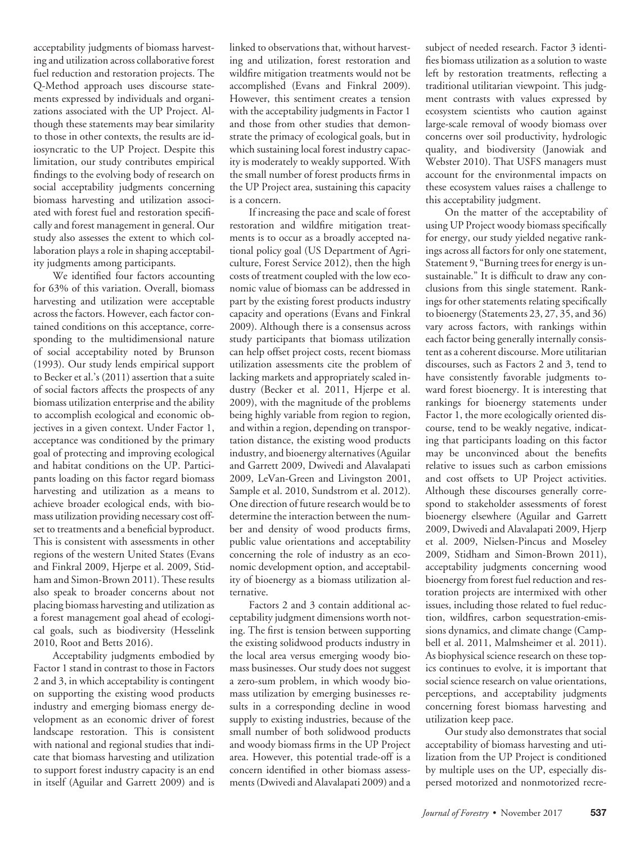acceptability judgments of biomass harvesting and utilization across collaborative forest fuel reduction and restoration projects. The Q-Method approach uses discourse statements expressed by individuals and organizations associated with the UP Project. Although these statements may bear similarity to those in other contexts, the results are idiosyncratic to the UP Project. Despite this limitation, our study contributes empirical findings to the evolving body of research on social acceptability judgments concerning biomass harvesting and utilization associated with forest fuel and restoration specifically and forest management in general. Our study also assesses the extent to which collaboration plays a role in shaping acceptability judgments among participants.

We identified four factors accounting for 63% of this variation. Overall, biomass harvesting and utilization were acceptable across the factors. However, each factor contained conditions on this acceptance, corresponding to the multidimensional nature of social acceptability noted by Brunson (1993). Our study lends empirical support to Becker et al.'s (2011) assertion that a suite of social factors affects the prospects of any biomass utilization enterprise and the ability to accomplish ecological and economic objectives in a given context. Under Factor 1, acceptance was conditioned by the primary goal of protecting and improving ecological and habitat conditions on the UP. Participants loading on this factor regard biomass harvesting and utilization as a means to achieve broader ecological ends, with biomass utilization providing necessary cost offset to treatments and a beneficial byproduct. This is consistent with assessments in other regions of the western United States (Evans and Finkral 2009, Hjerpe et al. 2009, Stidham and Simon-Brown 2011). These results also speak to broader concerns about not placing biomass harvesting and utilization as a forest management goal ahead of ecological goals, such as biodiversity (Hesselink 2010, Root and Betts 2016).

Acceptability judgments embodied by Factor 1 stand in contrast to those in Factors 2 and 3, in which acceptability is contingent on supporting the existing wood products industry and emerging biomass energy development as an economic driver of forest landscape restoration. This is consistent with national and regional studies that indicate that biomass harvesting and utilization to support forest industry capacity is an end in itself (Aguilar and Garrett 2009) and is

linked to observations that, without harvesting and utilization, forest restoration and wildfire mitigation treatments would not be accomplished (Evans and Finkral 2009). However, this sentiment creates a tension with the acceptability judgments in Factor 1 and those from other studies that demonstrate the primacy of ecological goals, but in which sustaining local forest industry capacity is moderately to weakly supported. With the small number of forest products firms in the UP Project area, sustaining this capacity is a concern.

If increasing the pace and scale of forest restoration and wildfire mitigation treatments is to occur as a broadly accepted national policy goal (US Department of Agriculture, Forest Service 2012), then the high costs of treatment coupled with the low economic value of biomass can be addressed in part by the existing forest products industry capacity and operations (Evans and Finkral 2009). Although there is a consensus across study participants that biomass utilization can help offset project costs, recent biomass utilization assessments cite the problem of lacking markets and appropriately scaled industry (Becker et al. 2011, Hjerpe et al. 2009), with the magnitude of the problems being highly variable from region to region, and within a region, depending on transportation distance, the existing wood products industry, and bioenergy alternatives (Aguilar and Garrett 2009, Dwivedi and Alavalapati 2009, LeVan-Green and Livingston 2001, Sample et al. 2010, Sundstrom et al. 2012). One direction of future research would be to determine the interaction between the number and density of wood products firms, public value orientations and acceptability concerning the role of industry as an economic development option, and acceptability of bioenergy as a biomass utilization alternative.

Factors 2 and 3 contain additional acceptability judgment dimensions worth noting. The first is tension between supporting the existing solidwood products industry in the local area versus emerging woody biomass businesses. Our study does not suggest a zero-sum problem, in which woody biomass utilization by emerging businesses results in a corresponding decline in wood supply to existing industries, because of the small number of both solidwood products and woody biomass firms in the UP Project area. However, this potential trade-off is a concern identified in other biomass assessments (Dwivedi and Alavalapati 2009) and a

subject of needed research. Factor 3 identifies biomass utilization as a solution to waste left by restoration treatments, reflecting a traditional utilitarian viewpoint. This judgment contrasts with values expressed by ecosystem scientists who caution against large-scale removal of woody biomass over concerns over soil productivity, hydrologic quality, and biodiversity (Janowiak and Webster 2010). That USFS managers must account for the environmental impacts on these ecosystem values raises a challenge to this acceptability judgment.

On the matter of the acceptability of using UP Project woody biomass specifically for energy, our study yielded negative rankings across all factors for only one statement, Statement 9, "Burning trees for energy is unsustainable." It is difficult to draw any conclusions from this single statement. Rankings for other statements relating specifically to bioenergy (Statements 23, 27, 35, and 36) vary across factors, with rankings within each factor being generally internally consistent as a coherent discourse. More utilitarian discourses, such as Factors 2 and 3, tend to have consistently favorable judgments toward forest bioenergy. It is interesting that rankings for bioenergy statements under Factor 1, the more ecologically oriented discourse, tend to be weakly negative, indicating that participants loading on this factor may be unconvinced about the benefits relative to issues such as carbon emissions and cost offsets to UP Project activities. Although these discourses generally correspond to stakeholder assessments of forest bioenergy elsewhere (Aguilar and Garrett 2009, Dwivedi and Alavalapati 2009, Hjerp et al. 2009, Nielsen-Pincus and Moseley 2009, Stidham and Simon-Brown 2011), acceptability judgments concerning wood bioenergy from forest fuel reduction and restoration projects are intermixed with other issues, including those related to fuel reduction, wildfires, carbon sequestration-emissions dynamics, and climate change (Campbell et al. 2011, Malmsheimer et al. 2011). As biophysical science research on these topics continues to evolve, it is important that social science research on value orientations, perceptions, and acceptability judgments concerning forest biomass harvesting and utilization keep pace.

Our study also demonstrates that social acceptability of biomass harvesting and utilization from the UP Project is conditioned by multiple uses on the UP, especially dispersed motorized and nonmotorized recre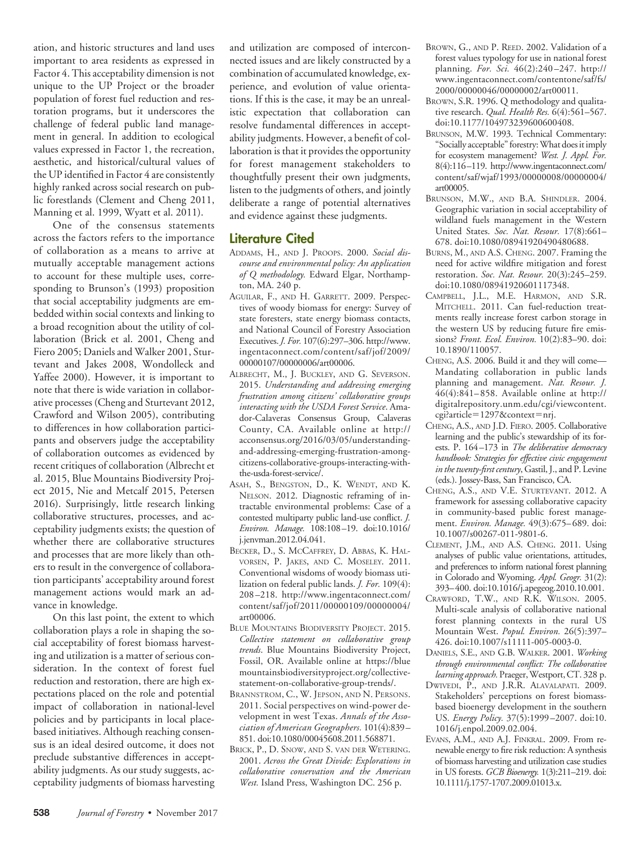ation, and historic structures and land uses important to area residents as expressed in Factor 4. This acceptability dimension is not unique to the UP Project or the broader population of forest fuel reduction and restoration programs, but it underscores the challenge of federal public land management in general. In addition to ecological values expressed in Factor 1, the recreation, aesthetic, and historical/cultural values of the UP identified in Factor 4 are consistently highly ranked across social research on public forestlands (Clement and Cheng 2011, Manning et al. 1999, Wyatt et al. 2011).

One of the consensus statements across the factors refers to the importance of collaboration as a means to arrive at mutually acceptable management actions to account for these multiple uses, corresponding to Brunson's (1993) proposition that social acceptability judgments are embedded within social contexts and linking to a broad recognition about the utility of collaboration (Brick et al. 2001, Cheng and Fiero 2005; Daniels and Walker 2001, Sturtevant and Jakes 2008, Wondolleck and Yaffee 2000). However, it is important to note that there is wide variation in collaborative processes (Cheng and Sturtevant 2012, Crawford and Wilson 2005), contributing to differences in how collaboration participants and observers judge the acceptability of collaboration outcomes as evidenced by recent critiques of collaboration (Albrecht et al. 2015, Blue Mountains Biodiversity Project 2015, Nie and Metcalf 2015, Petersen 2016). Surprisingly, little research linking collaborative structures, processes, and acceptability judgments exists; the question of whether there are collaborative structures and processes that are more likely than others to result in the convergence of collaboration participants' acceptability around forest management actions would mark an advance in knowledge.

On this last point, the extent to which collaboration plays a role in shaping the social acceptability of forest biomass harvesting and utilization is a matter of serious consideration. In the context of forest fuel reduction and restoration, there are high expectations placed on the role and potential impact of collaboration in national-level policies and by participants in local placebased initiatives. Although reaching consensus is an ideal desired outcome, it does not preclude substantive differences in acceptability judgments. As our study suggests, acceptability judgments of biomass harvesting and utilization are composed of interconnected issues and are likely constructed by a combination of accumulated knowledge, experience, and evolution of value orientations. If this is the case, it may be an unrealistic expectation that collaboration can resolve fundamental differences in acceptability judgments. However, a benefit of collaboration is that it provides the opportunity for forest management stakeholders to thoughtfully present their own judgments, listen to the judgments of others, and jointly deliberate a range of potential alternatives and evidence against these judgments.

# **Literature Cited**

- ADDAMS, H., AND J. PROOPS. 2000. *Social discourse and environmental policy: An application of Q methodology.* Edward Elgar, Northampton, MA. 240 p.
- AGUILAR, F., AND H. GARRETT. 2009. Perspectives of woody biomass for energy: Survey of state foresters, state energy biomass contacts, and National Council of Forestry Association Executives.*J. For.* 107(6):297–306. [http://www.](http://www.ingentaconnect.com/content/saf/jof/2009/00000107/00000006/art00006) [ingentaconnect.com/content/saf/jof/2009/](http://www.ingentaconnect.com/content/saf/jof/2009/00000107/00000006/art00006) [00000107/00000006/art00006.](http://www.ingentaconnect.com/content/saf/jof/2009/00000107/00000006/art00006)
- ALBRECHT, M., J. BUCKLEY, AND G. SEVERSON. 2015. *Understanding and addressing emerging frustration among citizens' collaborative groups interacting with the USDA Forest Service*. Amador-Calaveras Consensus Group, Calaveras County, CA. Available online at [http://](http://acconsensus.org/2016/03/05/understanding-and-addressing-emerging-frustration-among-citizens-collaborative-groups-interacting-with-the-usda-forest-service/) [acconsensus.org/2016/03/05/understanding](http://acconsensus.org/2016/03/05/understanding-and-addressing-emerging-frustration-among-citizens-collaborative-groups-interacting-with-the-usda-forest-service/)[and-addressing-emerging-frustration-among](http://acconsensus.org/2016/03/05/understanding-and-addressing-emerging-frustration-among-citizens-collaborative-groups-interacting-with-the-usda-forest-service/)[citizens-collaborative-groups-interacting-with](http://acconsensus.org/2016/03/05/understanding-and-addressing-emerging-frustration-among-citizens-collaborative-groups-interacting-with-the-usda-forest-service/)[the-usda-forest-service/.](http://acconsensus.org/2016/03/05/understanding-and-addressing-emerging-frustration-among-citizens-collaborative-groups-interacting-with-the-usda-forest-service/)
- ASAH, S., BENGSTON, D., K. WENDT, AND K. NELSON. 2012. Diagnostic reframing of intractable environmental problems: Case of a contested multiparty public land-use conflict. *J. Environ. Manage.* 108:108 –19. [doi:10.1016/](http://doi.org/10.1016/j.jenvman.2012.04.041) [j.jenvman.2012.04.041.](http://doi.org/10.1016/j.jenvman.2012.04.041)
- BECKER, D., S. MCCAFFREY, D. ABBAS, K. HAL-VORSEN, P. JAKES, AND C. MOSELEY. 2011. Conventional wisdoms of woody biomass utilization on federal public lands. *J. For.* 109(4): 208 –218. [http://www.ingentaconnect.com/](http://www.ingentaconnect.com/content/saf/jof/2011/00000109/00000004/art00006) [content/saf/jof/2011/00000109/00000004/](http://www.ingentaconnect.com/content/saf/jof/2011/00000109/00000004/art00006) [art00006.](http://www.ingentaconnect.com/content/saf/jof/2011/00000109/00000004/art00006)
- BLUE MOUNTAINS BIODIVERSITY PROJECT. 2015. *Collective statement on collaborative group trends*. Blue Mountains Biodiversity Project, Fossil, OR. Available online at [https://blue](https://bluemountainsbiodiversityproject.org/collective-statement-on-collaborative-group-trends/) [mountainsbiodiversityproject.org/collective](https://bluemountainsbiodiversityproject.org/collective-statement-on-collaborative-group-trends/)[statement-on-collaborative-group-trends/.](https://bluemountainsbiodiversityproject.org/collective-statement-on-collaborative-group-trends/)
- BRANNSTROM, C., W. JEPSON, AND N. PERSONS. 2011. Social perspectives on wind-power development in west Texas. *Annals of the Association of American Geographers.* 101(4):839 – 851. [doi:10.1080/00045608.2011.568871.](http://dx.doi.org/doi:10.1080/00045608.2011.568871)
- BRICK, P., D. SNOW, AND S. VAN DER WETERING. 2001. *Across the Great Divide: Explorations in collaborative conservation and the American West.* Island Press, Washington DC. 256 p.
- BROWN, G., AND P. REED. 2002. Validation of a forest values typology for use in national forest planning. *For. Sci.* 46(2):240 –247. [http://](http://www.ingentaconnect.com/contentone/saf/fs/2000/00000046/00000002/art00011) [www.ingentaconnect.com/contentone/saf/fs/](http://www.ingentaconnect.com/contentone/saf/fs/2000/00000046/00000002/art00011) [2000/00000046/00000002/art00011.](http://www.ingentaconnect.com/contentone/saf/fs/2000/00000046/00000002/art00011)
- BROWN, S.R. 1996. Q methodology and qualitative research. *Qual. Health Res.* 6(4):561–567. [doi:10.1177/104973239600600408.](http://journals.sagepub.com/doi/abs/10.1177/104973239600600408)
- BRUNSON, M.W. 1993. Technical Commentary: "Socially acceptable" forestry: What does it imply for ecosystem management? *West. J. Appl. For.* 8(4):116–119. [http://www.ingentaconnect.com/](http://www.ingentaconnect.com/content/saf/wjaf/1993/00000008/00000004/art00005) [content/saf/wjaf/1993/00000008/00000004/](http://www.ingentaconnect.com/content/saf/wjaf/1993/00000008/00000004/art00005) [art00005.](http://www.ingentaconnect.com/content/saf/wjaf/1993/00000008/00000004/art00005)
- BRUNSON, M.W., AND B.A. SHINDLER. 2004. Geographic variation in social acceptability of wildland fuels management in the Western United States. *Soc. Nat. Resour.* 17(8):661– 678. [doi:10.1080/08941920490480688.](http://dx.doi.org/doi:10.1080/08941920490480688)
- BURNS, M., AND A.S. CHENG. 2007. Framing the need for active wildfire mitigation and forest restoration. *Soc. Nat. Resour.* 20(3):245–259. [doi:10.1080/08941920601117348.](http://dx.doi.org/doi:10.1080/08941920601117348)
- CAMPBELL, J.L., M.E. HARMON, AND S.R. MITCHELL. 2011. Can fuel-reduction treatments really increase forest carbon storage in the western US by reducing future fire emissions? *Front. Ecol. Environ.* 10(2):83–90. doi: [10.1890/110057.](http://dx.doi.org/10.1890/110057)
- CHENG, A.S. 2006. Build it and they will come— Mandating collaboration in public lands planning and management. *Nat. Resour. J.* 46(4):841– 858. Available online at [http://](http://digitalrepository.unm.edu/cgi/viewcontent.cgi?article=1297&context=nrj) [digitalrepository.unm.edu/cgi/viewcontent.](http://digitalrepository.unm.edu/cgi/viewcontent.cgi?article=1297&context=nrj) cgi?article=[1297&context](http://digitalrepository.unm.edu/cgi/viewcontent.cgi?article=1297&context=nrj)=nrj.
- CHENG, A.S., AND J.D. FIERO. 2005. Collaborative learning and the public's stewardship of its forests. P. 164 –173 in *The deliberative democracy handbook: Strategies for effective civic engagement in the twenty-first century*, Gastil, J., and P. Levine (eds.). Jossey-Bass, San Francisco, CA.
- CHENG, A.S., AND V.E. STURTEVANT. 2012. A framework for assessing collaborative capacity in community-based public forest management. *Environ. Manage.* 49(3):675– 689. doi: [10.1007/s00267-011-9801-6.](http://dx.doi.org/10.1007/s00267-011-9801-6)
- CLEMENT, J.M., AND A.S. CHENG. 2011. Using analyses of public value orientations, attitudes, and preferences to inform national forest planning in Colorado and Wyoming. *Appl. Geogr.* 31(2): 393– 400. [doi:10.1016/j.apegeog.2010.10.001.](http://doi.org/10.1016/j.apegeog.2010.10.001)
- CRAWFORD, T.W., AND R.K. WILSON. 2005. Multi-scale analysis of collaborative national forest planning contexts in the rural US Mountain West. *Popul. Environ.* 26(5):397– 426. doi[:10.1007/s11111-005-0003-0.](http://dx.doi.org/10.1007/s11111-005-0003-0)
- DANIELS, S.E., AND G.B. WALKER. 2001. *Working through environmental conflict: The collaborative learning approach.*Praeger,Westport,CT. 328 p.
- DWIVEDI, P., AND J.R.R. ALAVALAPATI. 2009. Stakeholders' perceptions on forest biomassbased bioenergy development in the southern US. *Energy Policy.* 37(5):1999 –2007. [doi:10.](http://doi.org/10.1016/j.enpol.2009.02.004) [1016/j.enpol.2009.02.004.](http://doi.org/10.1016/j.enpol.2009.02.004)
- EVANS, A.M., AND A.J. FINKRAL. 2009. From renewable energy to fire risk reduction: A synthesis of biomass harvesting and utilization case studies in US forests. *GCB Bioenergy.* 1(3):211–219. doi: [10.1111/j.1757-1707.2009.01013.x.](http://dx.doi.org/10.1111/j.1757-1707.2009.01013.x)